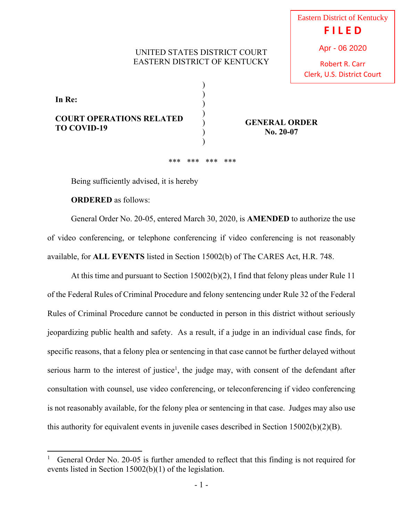## UNITED STATES DISTRICT COURT EASTERN DISTRICT OF KENTUCKY

) ) ) ) ) )  $\mathcal{L}$  Eastern District of Kentucky **F I L E D** Apr - 06 2020

Robert R. Carr Clerk, U.S. District Court

**In Re: COURT OPERATIONS RELATED** 

**TO COVID-19** 

**GENERAL ORDER No. 20-07**

\*\*\* \*\*\* \*\*\* \*\*\*

Being sufficiently advised, it is hereby

**ORDERED** as follows:

 General Order No. 20-05, entered March 30, 2020, is **AMENDED** to authorize the use of video conferencing, or telephone conferencing if video conferencing is not reasonably available, for **ALL EVENTS** listed in Section 15002(b) of The CARES Act, H.R. 748.

 At this time and pursuant to Section 15002(b)(2), I find that felony pleas under Rule 11 of the Federal Rules of Criminal Procedure and felony sentencing under Rule 32 of the Federal Rules of Criminal Procedure cannot be conducted in person in this district without seriously jeopardizing public health and safety. As a result, if a judge in an individual case finds, for specific reasons, that a felony plea or sentencing in that case cannot be further delayed without serious harm to the interest of justice<sup>1</sup>, the judge may, with consent of the defendant after consultation with counsel, use video conferencing, or teleconferencing if video conferencing is not reasonably available, for the felony plea or sentencing in that case. Judges may also use this authority for equivalent events in juvenile cases described in Section 15002(b)(2)(B).

<sup>1</sup> General Order No. 20-05 is further amended to reflect that this finding is not required for events listed in Section 15002(b)(1) of the legislation.